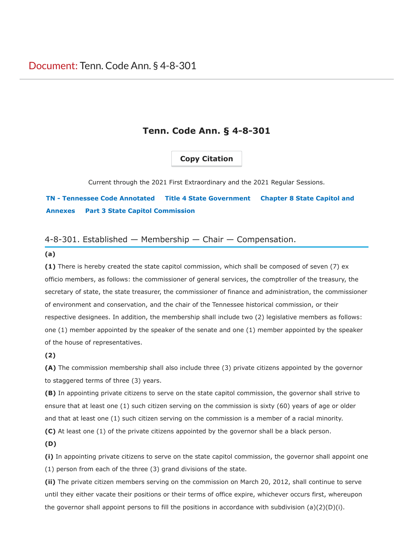## **Copy Citation**

Current through the 2021 First Extraordinary and the 2021 Regular Sessions.

**TN - Tennessee Code Annotated Title 4 State Government Chapter 8 State Capitol and Annexes Part 3 State Capitol Commission**

### 4-8-301. Established — Membership — Chair — Compensation.

#### **(a)**

**(1)** There is hereby created the state capitol commission, which shall be composed of seven (7) ex officio members, as follows: the commissioner of general services, the comptroller of the treasury, the secretary of state, the state treasurer, the commissioner of finance and administration, the commissioner of environment and conservation, and the chair of the Tennessee historical commission, or their respective designees. In addition, the membership shall include two (2) legislative members as follows: one (1) member appointed by the speaker of the senate and one (1) member appointed by the speaker of the house of representatives.

#### **(2)**

**(A)** The commission membership shall also include three (3) private citizens appointed by the governor to staggered terms of three (3) years.

**(B)** In appointing private citizens to serve on the state capitol commission, the governor shall strive to ensure that at least one (1) such citizen serving on the commission is sixty (60) years of age or older and that at least one (1) such citizen serving on the commission is a member of a racial minority.

**(C)** At least one (1) of the private citizens appointed by the governor shall be a black person.

**(D)**

**(i)** In appointing private citizens to serve on the state capitol commission, the governor shall appoint one (1) person from each of the three (3) grand divisions of the state.

**(ii)** The private citizen members serving on the commission on March 20, 2012, shall continue to serve until they either vacate their positions or their terms of office expire, whichever occurs first, whereupon the governor shall appoint persons to fill the positions in accordance with subdivision  $(a)(2)(D)(i)$ .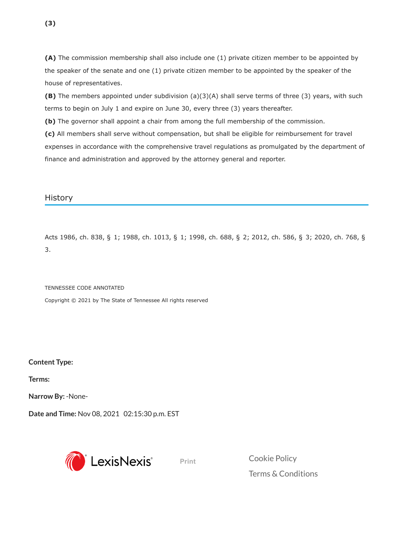**(A)** The commission membership shall also include one (1) private citizen member to be appointed by the speaker of the senate and one (1) private citizen member to be appointed by the speaker of the house of representatives.

**(B)** The members appointed under subdivision (a)(3)(A) shall serve terms of three (3) years, with such terms to begin on July 1 and expire on June 30, every three (3) years thereafter.

**(b)** The governor shall appoint a chair from among the full membership of the commission. **(c)** All members shall serve without compensation, but shall be eligible for reimbursement for travel expenses in accordance with the comprehensive travel regulations as promulgated by the department of

finance and administration and approved by the attorney general and reporter.

History

Acts 1986, ch. 838, § 1; 1988, ch. 1013, § 1; 1998, ch. 688, § 2; 2012, ch. 586, § 3; 2020, ch. 768, § 3.

TENNESSEE CODE ANNOTATED

Copyright © 2021 by The State of Tennessee All rights reserved

**Content Type:**

**Terms:**

**Narrow By:** -None-

**Date and Time:** Nov 08, 2021 02:15:30 p.m. EST



**Print** [Cookie](https://www.lexisnexis.com/global/privacy/privacy-cookies/default.aspx?gid=46&locale=en-US) Policy Terms & [Conditions](http://www.lexisnexis.com/terms/general.aspx)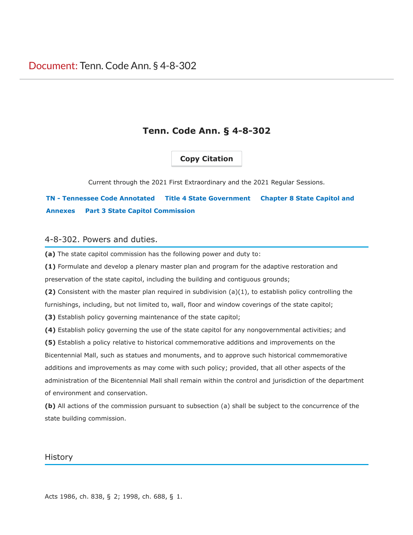## **Copy Citation**

<span id="page-2-0"></span>Current through the 2021 First Extraordinary and the 2021 Regular Sessions.

# **[TN - Tennessee Code Annotated](#page-2-0) [Title 4 State Government](#page-2-0) Chapter 8 State Capitol and Annexes [Part 3 State Capitol Commission](#page-2-0)**

#### 4-8-302. Powers and duties.

**(a)** The state capitol commission has the following power and duty to:

**(1)** Formulate and develop a plenary master plan and program for the adaptive restoration and preservation of the state capitol, including the building and contiguous grounds;

**(2)** Consistent with the master plan required in subdivision (a)(1), to establish policy controlling the furnishings, including, but not limited to, wall, floor and window coverings of the state capitol;

**(3)** Establish policy governing maintenance of the state capitol;

**(4)** Establish policy governing the use of the state capitol for any nongovernmental activities; and

**(5)** Establish a policy relative to historical commemorative additions and improvements on the

Bicentennial Mall, such as statues and monuments, and to approve such historical commemorative additions and improvements as may come with such policy; provided, that all other aspects of the administration of the Bicentennial Mall shall remain within the control and jurisdiction of the department of environment and conservation.

**(b)** All actions of the commission pursuant to subsection (a) shall be subject to the concurrence of the state building commission.

#### **History**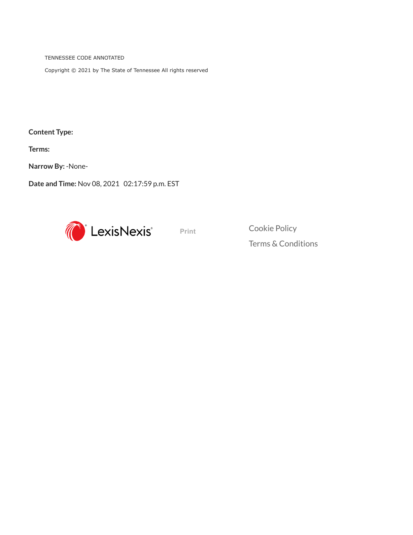TENNESSEE CODE ANNOTATED

Copyright © 2021 by The State of Tennessee All rights reserved

**Content Type:**

**Terms:**

**Narrow By:** -None-

**Date and Time:** Nov 08, 2021 02:17:59 p.m. EST



**Print** [Cookie](https://www.lexisnexis.com/global/privacy/privacy-cookies/default.aspx?gid=46&locale=en-US) Policy

Terms & [Conditions](http://www.lexisnexis.com/terms/general.aspx)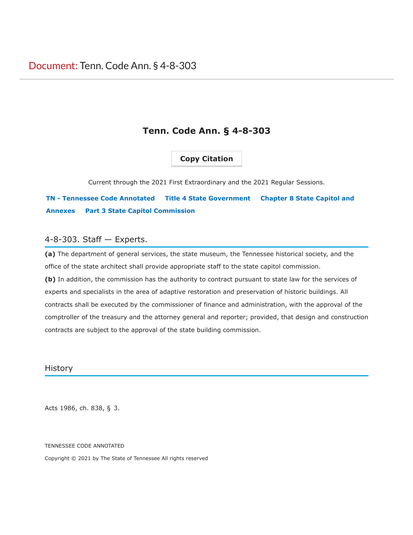### **Copy Citation**

<span id="page-4-0"></span>Current through the 2021 First Extraordinary and the 2021 Regular Sessions.

## **[TN - Tennessee Code Annotated](#page-4-0) [Title 4 State Government](#page-4-0) Chapter 8 State Capitol and Annexes [Part 3 State Capitol Commission](#page-4-0)**

#### 4-8-303. Staff — Experts.

**(a)** The department of general services, the state museum, the Tennessee historical society, and the office of the state architect shall provide appropriate staff to the state capitol commission. **(b)** In addition, the commission has the authority to contract pursuant to state law for the services of experts and specialists in the area of adaptive restoration and preservation of historic buildings. All contracts shall be executed by the commissioner of finance and administration, with the approval of the comptroller of the treasury and the attorney general and reporter; provided, that design and construction contracts are subject to the approval of the state building commission.

History

Acts 1986, ch. 838, § 3.

TENNESSEE CODE ANNOTATED

Copyright © 2021 by The State of Tennessee All rights reserved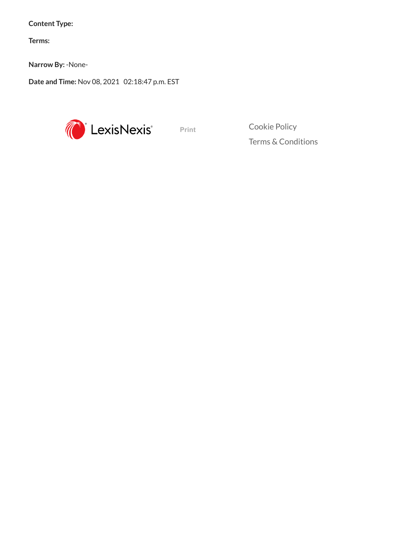**Content Type:**

**Terms:**

**Narrow By:** -None-

**Date and Time:** Nov 08, 2021 02:18:47 p.m. EST



**Print** [Cookie](https://www.lexisnexis.com/global/privacy/privacy-cookies/default.aspx?gid=46&locale=en-US) Policy Terms & [Conditions](http://www.lexisnexis.com/terms/general.aspx)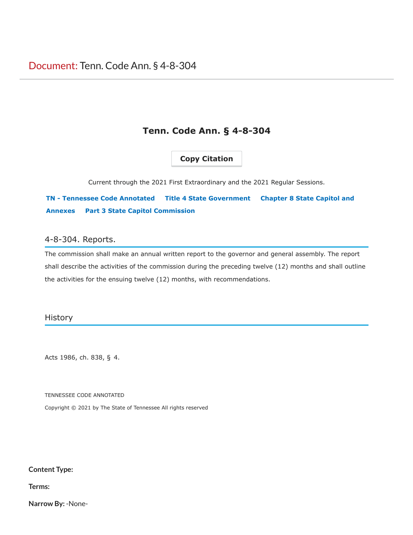## **Copy Citation**

<span id="page-6-0"></span>Current through the 2021 First Extraordinary and the 2021 Regular Sessions.

**[TN - Tennessee Code Annotated](#page-6-0) [Title 4 State Government](#page-6-0) Chapter 8 State Capitol and Annexes [Part 3 State Capitol Commission](#page-6-0)**

#### 4-8-304. Reports.

The commission shall make an annual written report to the governor and general assembly. The report shall describe the activities of the commission during the preceding twelve (12) months and shall outline the activities for the ensuing twelve (12) months, with recommendations.

#### **History**

Acts 1986, ch. 838, § 4.

TENNESSEE CODE ANNOTATED

Copyright © 2021 by The State of Tennessee All rights reserved

#### **Content Type:**

**Terms:**

**Narrow By:** -None-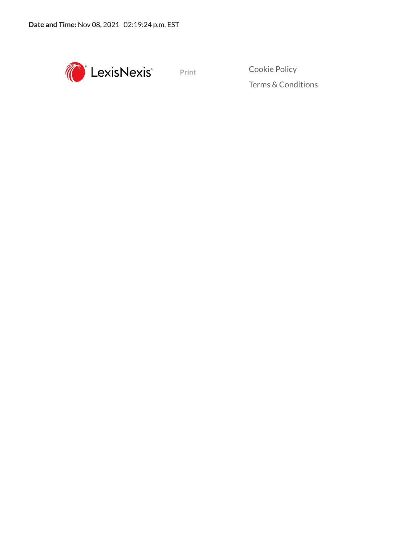

Terms & [Conditions](http://www.lexisnexis.com/terms/general.aspx)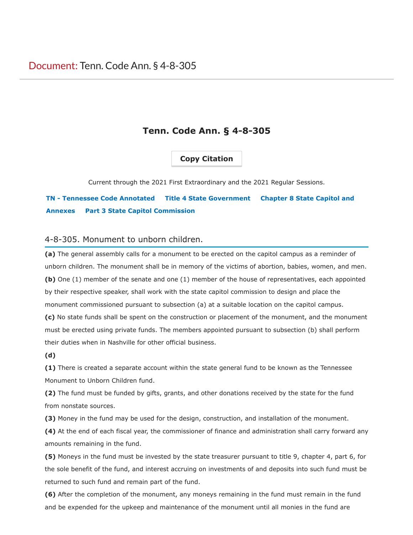### **Copy Citation**

<span id="page-8-0"></span>Current through the 2021 First Extraordinary and the 2021 Regular Sessions.

# **[TN - Tennessee Code Annotated](#page-8-0) [Title 4 State Government](#page-8-0) Chapter 8 State Capitol and Annexes [Part 3 State Capitol Commission](#page-8-0)**

#### 4-8-305. Monument to unborn children.

**(a)** The general assembly calls for a monument to be erected on the capitol campus as a reminder of unborn children. The monument shall be in memory of the victims of abortion, babies, women, and men. **(b)** One (1) member of the senate and one (1) member of the house of representatives, each appointed by their respective speaker, shall work with the state capitol commission to design and place the monument commissioned pursuant to subsection (a) at a suitable location on the capitol campus.

**(c)** No state funds shall be spent on the construction or placement of the monument, and the monument must be erected using private funds. The members appointed pursuant to subsection (b) shall perform their duties when in Nashville for other official business.

#### **(d)**

**(1)** There is created a separate account within the state general fund to be known as the Tennessee Monument to Unborn Children fund.

**(2)** The fund must be funded by gifts, grants, and other donations received by the state for the fund from nonstate sources.

**(3)** Money in the fund may be used for the design, construction, and installation of the monument.

**(4)** At the end of each fiscal year, the commissioner of finance and administration shall carry forward any amounts remaining in the fund.

**(5)** Moneys in the fund must be invested by the state treasurer pursuant to title 9, chapter 4, part 6, for the sole benefit of the fund, and interest accruing on investments of and deposits into such fund must be returned to such fund and remain part of the fund.

**(6)** After the completion of the monument, any moneys remaining in the fund must remain in the fund and be expended for the upkeep and maintenance of the monument until all monies in the fund are